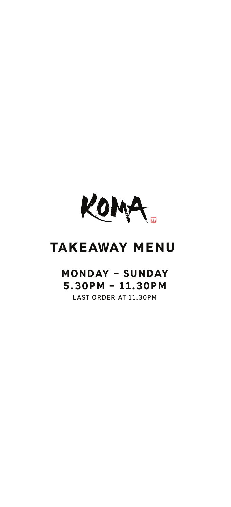

## TAKEAWAY MENU

## MONDAY – SUNDAY 5.30PM – 11.30PM **LAST ORDER AT 11.30PM**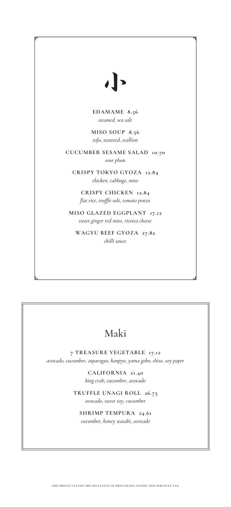## $\overline{\phantom{a}}$

**EDAMAME 8.56** *steamed, sea salt*

**MISO SOUP 8.56** *tofu, seaweed, scallion*

**CUCUMBER SESAME SALAD 10.70** *sour plum*

**CRISPY TOKYO GYOZA 12.84** *chicken, cabbage, miso*

**CRISPY CHICKEN 12.84** *flat rice, truffle salt, tomato ponzu*

**MISO GLAZED EGGPLANT 17.12** *sweet ginger red miso, ricotta cheese*

**WAGYU BEEF GYOZA 27.82** *chilli sauce*

## Maki

**7 TREASURE VEGETABLE 17.12** *avocado, cucumber, asparagus, kanpyo, yama gobo, shiso, soy paper*

> **CALIFORNIA 21.40** *king crab, cucumber, avocado*

**TRUFFLE UNAGI ROLL 26.75** *avocado, sweet soy, cucumber*

**SHRIMP TEMPURA 24.61** *cucumber, honey wasabi, avocado*